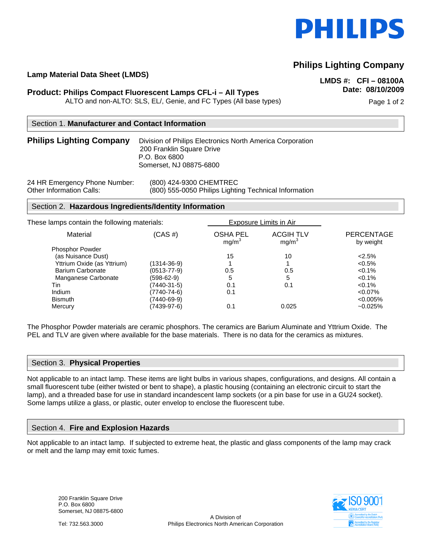

# **Philips Lighting Company**

# **Lamp Material Data Sheet (LMDS) LMDS #: CFI – 08100A**

## **Date: 08/10/2009 Product: Philips Compact Fluorescent Lamps CFL-i – All Types**

ALTO and non-ALTO: SLS, EL/, Genie, and FC Types (All base types) example and the Page 1 of 2

### Section 1. **Manufacturer and Contact Information**

#### **Philips Lighting Company** Division of Philips Electronics North America Corporation 200 Franklin Square Drive P.O. Box 6800 Somerset, NJ 08875-6800

24 HR Emergency Phone Number: (800) 424-9300 CHEMTREC

Other Information Calls: (800) 555-0050 Philips Lighting Technical Information

#### Section 2. **Hazardous Ingredients/Identity Information**

| These lamps contain the following materials: |                   | Exposure Limits in Air               |                                       |                         |
|----------------------------------------------|-------------------|--------------------------------------|---------------------------------------|-------------------------|
| Material                                     | $(CAS \#)$        | <b>OSHA PEL</b><br>mg/m <sup>3</sup> | <b>ACGIH TLV</b><br>mg/m <sup>3</sup> | PERCENTAGE<br>by weight |
| <b>Phosphor Powder</b>                       |                   |                                      |                                       |                         |
| (as Nuisance Dust)                           |                   | 15                                   | 10                                    | $< 2.5\%$               |
| Yttrium Oxide (as Yttrium)                   | $(1314 - 36 - 9)$ |                                      |                                       | $< 0.5\%$               |
| <b>Barium Carbonate</b>                      | $(0513 - 77 - 9)$ | 0.5                                  | 0.5                                   | $< 0.1\%$               |
| Manganese Carbonate                          | (598-62-9)        | 5                                    | 5                                     | $< 0.1\%$               |
| Tin                                          | (7440-31-5)       | 0.1                                  | 0.1                                   | $< 0.1\%$               |
| Indium                                       | (7740-74-6)       | 0.1                                  |                                       | $< 0.07\%$              |
| <b>Bismuth</b>                               | (7440-69-9)       |                                      |                                       | $< 0.005\%$             |
| Mercury                                      | (7439-97-6)       | 0.1                                  | 0.025                                 | $-0.025%$               |
|                                              |                   |                                      |                                       |                         |

The Phosphor Powder materials are ceramic phosphors. The ceramics are Barium Aluminate and Yttrium Oxide. The PEL and TLV are given where available for the base materials. There is no data for the ceramics as mixtures.

#### Section 3. **Physical Properties**

Not applicable to an intact lamp. These items are light bulbs in various shapes, configurations, and designs. All contain a small fluorescent tube (either twisted or bent to shape), a plastic housing (containing an electronic circuit to start the lamp), and a threaded base for use in standard incandescent lamp sockets (or a pin base for use in a GU24 socket). Some lamps utilize a glass, or plastic, outer envelop to enclose the fluorescent tube.

#### Section 4. **Fire and Explosion Hazards**

Not applicable to an intact lamp. If subjected to extreme heat, the plastic and glass components of the lamp may crack or melt and the lamp may emit toxic fumes.